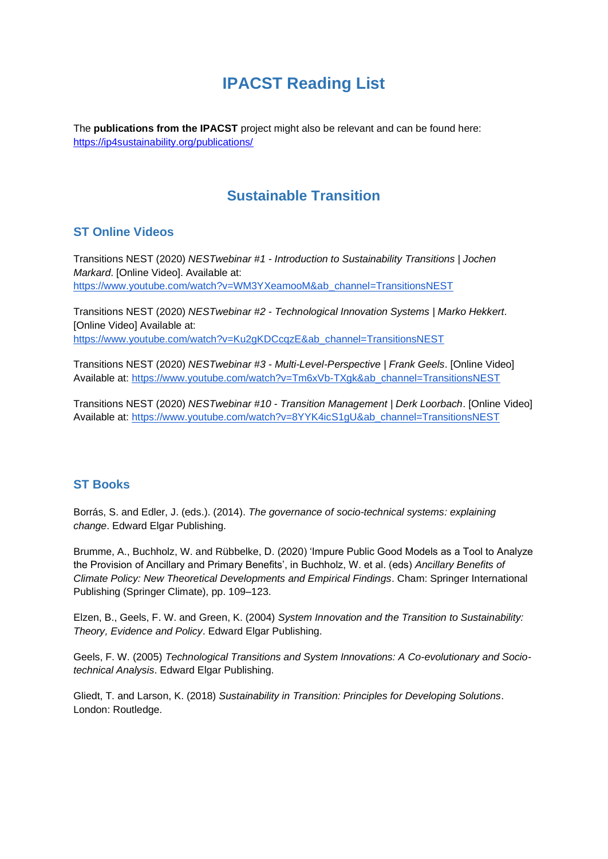# **IPACST Reading List**

The **publications from the IPACST** project might also be relevant and can be found here: <https://ip4sustainability.org/publications/>

## **Sustainable Transition**

## **ST Online Videos**

Transitions NEST (2020) *NESTwebinar #1 - Introduction to Sustainability Transitions | Jochen Markard*. [Online Video]. Available at[:](https://www.youtube.com/watch?v=WM3YXeamooM&ab_channel=TransitionsNEST) [https://www.youtube.com/watch?v=WM3YXeamooM&ab\\_channel=TransitionsNEST](https://www.youtube.com/watch?v=WM3YXeamooM&ab_channel=TransitionsNEST) 

Transitions NEST (2020) *NESTwebinar #2 - Technological Innovation Systems | Marko Hekkert*. [Online Video] Available at[:](https://www.youtube.com/watch?v=Ku2gKDCcqzE&ab_channel=TransitionsNEST) https://www.youtube.com/watch?v=Ku2gKDCcqzE&ab\_channel=TransitionsNEST

Transitions NEST (2020) *NESTwebinar #3 - Multi-Level-Perspective | Frank Geels*. [Online Video] Available at: [https://www.youtube.com/watch?v=Tm6xVb-TXgk&ab\\_channel=TransitionsNEST](https://www.youtube.com/watch?v=Tm6xVb-TXgk&ab_channel=TransitionsNEST) 

Transitions NEST (2020) *NESTwebinar #10 - Transition Management | Derk Loorbach*. [Online Video] Available at: [https://www.youtube.com/watch?v=8YYK4icS1gU&ab\\_channel=TransitionsNEST](https://www.youtube.com/watch?v=8YYK4icS1gU&ab_channel=TransitionsNEST) 

### **ST Books**

Borrás, S. and Edler, J. (eds.). (2014). *The governance of socio-technical systems: explaining change*. Edward Elgar Publishing.

Brumme, A., Buchholz, W. and Rübbelke, D. (2020) 'Impure Public Good Models as a Tool to Analyze the Provision of Ancillary and Primary Benefits', in Buchholz, W. et al. (eds) *Ancillary Benefits of Climate Policy: New Theoretical Developments and Empirical Findings*. Cham: Springer International Publishing (Springer Climate), pp. 109–123.

Elzen, B., Geels, F. W. and Green, K. (2004) *System Innovation and the Transition to Sustainability: Theory, Evidence and Policy*. Edward Elgar Publishing.

Geels, F. W. (2005) *Technological Transitions and System Innovations: A Co-evolutionary and Sociotechnical Analysis*. Edward Elgar Publishing.

Gliedt, T. and Larson, K. (2018) *Sustainability in Transition: Principles for Developing Solutions*. London: Routledge.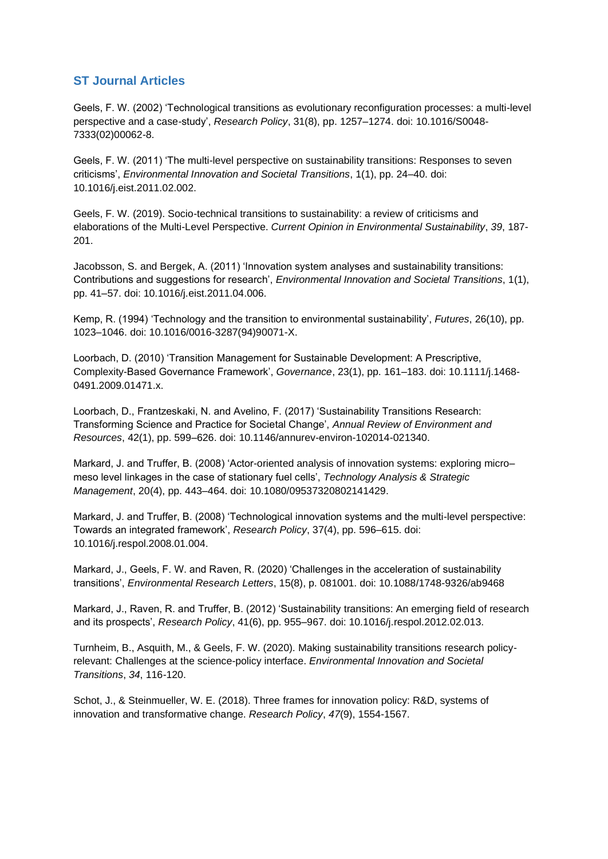### **ST Journal Articles**

Geels, F. W. (2002) 'Technological transitions as evolutionary reconfiguration processes: a multi-level perspective and a case-study', *Research Policy*, 31(8), pp. 1257–1274. doi: 10.1016/S0048- 7333(02)00062-8.

Geels, F. W. (2011) 'The multi-level perspective on sustainability transitions: Responses to seven criticisms', *Environmental Innovation and Societal Transitions*, 1(1), pp. 24–40. doi: 10.1016/j.eist.2011.02.002.

Geels, F. W. (2019). Socio-technical transitions to sustainability: a review of criticisms and elaborations of the Multi-Level Perspective. *Current Opinion in Environmental Sustainability*, *39*, 187- 201.

Jacobsson, S. and Bergek, A. (2011) 'Innovation system analyses and sustainability transitions: Contributions and suggestions for research', *Environmental Innovation and Societal Transitions*, 1(1), pp. 41–57. doi: 10.1016/j.eist.2011.04.006.

Kemp, R. (1994) 'Technology and the transition to environmental sustainability', *Futures*, 26(10), pp. 1023–1046. doi: 10.1016/0016-3287(94)90071-X.

Loorbach, D. (2010) 'Transition Management for Sustainable Development: A Prescriptive, Complexity-Based Governance Framework', *Governance*, 23(1), pp. 161–183. doi: 10.1111/j.1468- 0491.2009.01471.x.

Loorbach, D., Frantzeskaki, N. and Avelino, F. (2017) 'Sustainability Transitions Research: Transforming Science and Practice for Societal Change', *Annual Review of Environment and Resources*, 42(1), pp. 599–626. doi: 10.1146/annurev-environ-102014-021340.

Markard, J. and Truffer, B. (2008) 'Actor-oriented analysis of innovation systems: exploring micro– meso level linkages in the case of stationary fuel cells', *Technology Analysis & Strategic Management*, 20(4), pp. 443–464. doi: 10.1080/09537320802141429.

Markard, J. and Truffer, B. (2008) 'Technological innovation systems and the multi-level perspective: Towards an integrated framework', *Research Policy*, 37(4), pp. 596–615. doi: 10.1016/j.respol.2008.01.004.

Markard, J., Geels, F. W. and Raven, R. (2020) 'Challenges in the acceleration of sustainability transitions', *Environmental Research Letters*, 15(8), p. 081001. doi: 10.1088/1748-9326/ab9468

Markard, J., Raven, R. and Truffer, B. (2012) 'Sustainability transitions: An emerging field of research and its prospects', *Research Policy*, 41(6), pp. 955–967. doi: 10.1016/j.respol.2012.02.013.

Turnheim, B., Asquith, M., & Geels, F. W. (2020). Making sustainability transitions research policyrelevant: Challenges at the science-policy interface. *Environmental Innovation and Societal Transitions*, *34*, 116-120.

Schot, J., & Steinmueller, W. E. (2018). Three frames for innovation policy: R&D, systems of innovation and transformative change. *Research Policy*, *47*(9), 1554-1567.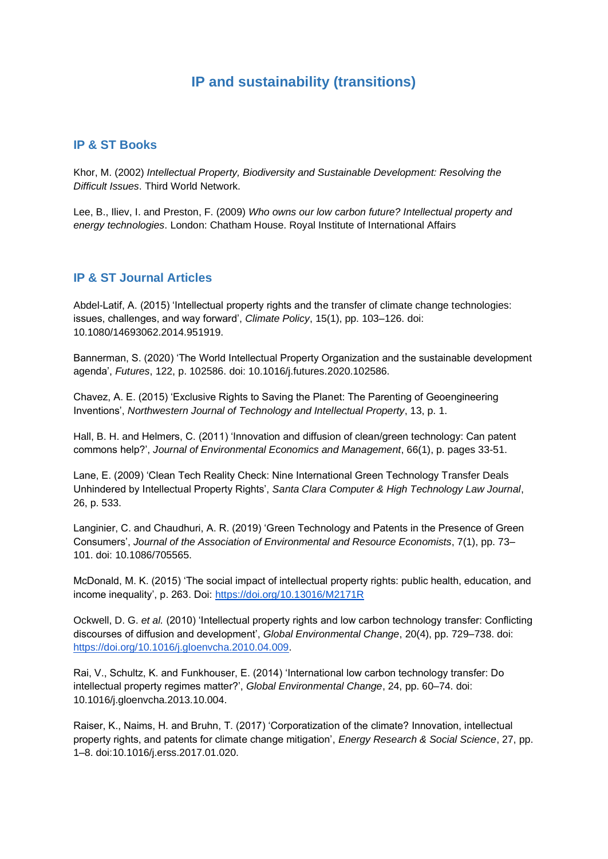## **IP and sustainability (transitions)**

#### **IP & ST Books**

Khor, M. (2002) *Intellectual Property, Biodiversity and Sustainable Development: Resolving the Difficult Issues*. Third World Network.

Lee, B., Iliev, I. and Preston, F. (2009) *Who owns our low carbon future? Intellectual property and energy technologies*. London: Chatham House. Royal Institute of International Affairs

#### **IP & ST Journal Articles**

Abdel-Latif, A. (2015) 'Intellectual property rights and the transfer of climate change technologies: issues, challenges, and way forward', *Climate Policy*, 15(1), pp. 103–126. doi: 10.1080/14693062.2014.951919.

Bannerman, S. (2020) 'The World Intellectual Property Organization and the sustainable development agenda', *Futures*, 122, p. 102586. doi: 10.1016/j.futures.2020.102586.

Chavez, A. E. (2015) 'Exclusive Rights to Saving the Planet: The Parenting of Geoengineering Inventions', *Northwestern Journal of Technology and Intellectual Property*, 13, p. 1.

Hall, B. H. and Helmers, C. (2011) 'Innovation and diffusion of clean/green technology: Can patent commons help?', *Journal of Environmental Economics and Management*, 66(1), p. pages 33-51.

Lane, E. (2009) 'Clean Tech Reality Check: Nine International Green Technology Transfer Deals Unhindered by Intellectual Property Rights', *Santa Clara Computer & High Technology Law Journal*, 26, p. 533.

Langinier, C. and Chaudhuri, A. R. (2019) 'Green Technology and Patents in the Presence of Green Consumers', *Journal of the Association of Environmental and Resource Economists*, 7(1), pp. 73– 101. doi: 10.1086/705565.

McDonald, M. K. (2015) 'The social impact of intellectual property rights: public health, education, and income inequality', p. 263. Doi[:](https://doi.org/10.13016/M2171R) <https://doi.org/10.13016/M2171R>

Ockwell, D. G. *et al.* (2010) 'Intellectual property rights and low carbon technology transfer: Conflicting discourses of diffusion and development', *Global Environmental Change*, 20(4), pp. 729–738. doi[:](https://doi.org/10.1016/j.gloenvcha.2010.04.009) [https://doi.org/10.1016/j.gloenvcha.2010.04.009.](https://doi.org/10.1016/j.gloenvcha.2010.04.009)

Rai, V., Schultz, K. and Funkhouser, E. (2014) 'International low carbon technology transfer: Do intellectual property regimes matter?', *Global Environmental Change*, 24, pp. 60–74. doi: 10.1016/j.gloenvcha.2013.10.004.

Raiser, K., Naims, H. and Bruhn, T. (2017) 'Corporatization of the climate? Innovation, intellectual property rights, and patents for climate change mitigation', *Energy Research & Social Science*, 27, pp. 1–8. doi:10.1016/j.erss.2017.01.020.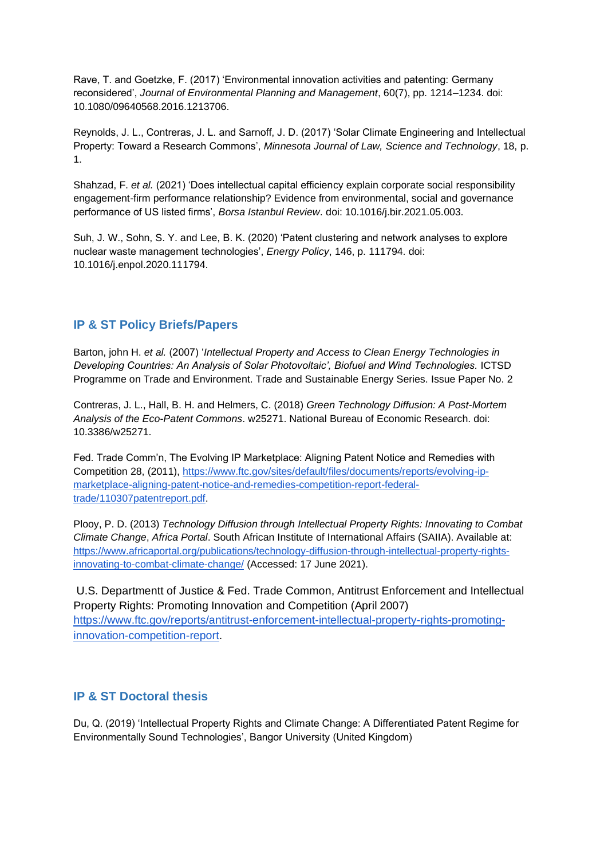Rave, T. and Goetzke, F. (2017) 'Environmental innovation activities and patenting: Germany reconsidered', *Journal of Environmental Planning and Management*, 60(7), pp. 1214–1234. doi: 10.1080/09640568.2016.1213706.

Reynolds, J. L., Contreras, J. L. and Sarnoff, J. D. (2017) 'Solar Climate Engineering and Intellectual Property: Toward a Research Commons', *Minnesota Journal of Law, Science and Technology*, 18, p. 1.

Shahzad, F. *et al.* (2021) 'Does intellectual capital efficiency explain corporate social responsibility engagement-firm performance relationship? Evidence from environmental, social and governance performance of US listed firms', *Borsa Istanbul Review*. doi: 10.1016/j.bir.2021.05.003.

Suh, J. W., Sohn, S. Y. and Lee, B. K. (2020) 'Patent clustering and network analyses to explore nuclear waste management technologies', *Energy Policy*, 146, p. 111794. doi: 10.1016/j.enpol.2020.111794.

## **IP & ST Policy Briefs/Papers**

Barton, john H. *et al.* (2007) '*Intellectual Property and Access to Clean Energy Technologies in Developing Countries: An Analysis of Solar Photovoltaic', Biofuel and Wind Technologies.* ICTSD Programme on Trade and Environment. Trade and Sustainable Energy Series. Issue Paper No. 2

Contreras, J. L., Hall, B. H. and Helmers, C. (2018) *Green Technology Diffusion: A Post-Mortem Analysis of the Eco-Patent Commons*. w25271. National Bureau of Economic Research. doi: 10.3386/w25271.

Fed. Trade Comm'n, The Evolving IP Marketplace: Aligning Patent Notice and Remedies with Competition 28, (2011), [https://www.ftc.gov/sites/default/files/documents/reports/evolving-ip](https://www.ftc.gov/sites/default/files/documents/reports/evolving-ip-marketplace-aligning-patent-notice-and-remedies-competition-report-federal-trade/110307patentreport.pdf)[marketplace-aligning-patent-notice-and-remedies-competition-report-federal](https://www.ftc.gov/sites/default/files/documents/reports/evolving-ip-marketplace-aligning-patent-notice-and-remedies-competition-report-federal-trade/110307patentreport.pdf)[trade/110307patentreport.pdf.](https://www.ftc.gov/sites/default/files/documents/reports/evolving-ip-marketplace-aligning-patent-notice-and-remedies-competition-report-federal-trade/110307patentreport.pdf)

Plooy, P. D. (2013) *Technology Diffusion through Intellectual Property Rights: Innovating to Combat Climate Change*, *Africa Portal*. South African Institute of International Affairs (SAIIA). Available at[:](https://www.africaportal.org/publications/technology-diffusion-through-intellectual-property-rights-innovating-to-combat-climate-change/) [https://www.africaportal.org/publications/technology-diffusion-through-intellectual-property-rights](https://www.africaportal.org/publications/technology-diffusion-through-intellectual-property-rights-innovating-to-combat-climate-change/)[innovating-to-combat-climate-change/](https://www.africaportal.org/publications/technology-diffusion-through-intellectual-property-rights-innovating-to-combat-climate-change/) (Accessed: 17 June 2021).

U.S. Departmentt of Justice & Fed. Trade Common, Antitrust Enforcement and Intellectual Property Rights: Promoting Innovation and Competition (April 2007) [https://www.ftc.gov/reports/antitrust-enforcement-intellectual-property-rights-promoting](https://www.ftc.gov/reports/antitrust-enforcement-intellectual-property-rights-promoting-innovation-competition-report)[innovation-competition-report.](https://www.ftc.gov/reports/antitrust-enforcement-intellectual-property-rights-promoting-innovation-competition-report)

## **IP & ST Doctoral thesis**

Du, Q. (2019) 'Intellectual Property Rights and Climate Change: A Differentiated Patent Regime for Environmentally Sound Technologies', Bangor University (United Kingdom)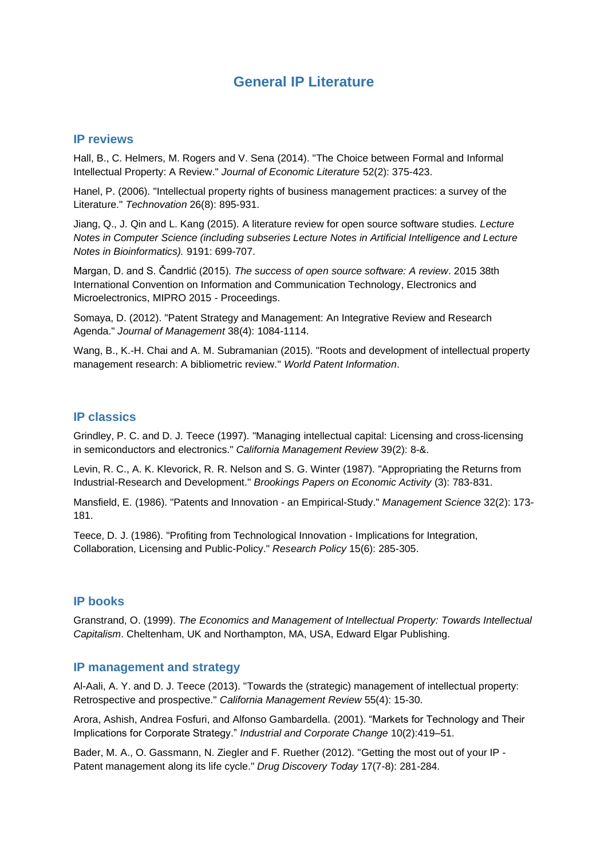## **General IP Literature**

### **IP reviews**

Hall, B., C. Helmers, M. Rogers and V. Sena (2014). "The Choice between Formal and Informal Intellectual Property: A Review." *Journal of Economic Literature* 52(2): 375-423.

Hanel, P. (2006). "Intellectual property rights of business management practices: a survey of the Literature." *Technovation* 26(8): 895-931.

Jiang, Q., J. Qin and L. Kang (2015). A literature review for open source software studies. *Lecture Notes in Computer Science (including subseries Lecture Notes in Artificial Intelligence and Lecture Notes in Bioinformatics).* 9191: 699-707.

Margan, D. and S. Čandrlić (2015). *The success of open source software: A review*. 2015 38th International Convention on Information and Communication Technology, Electronics and Microelectronics, MIPRO 2015 - Proceedings.

Somaya, D. (2012). "Patent Strategy and Management: An Integrative Review and Research Agenda." *Journal of Management* 38(4): 1084-1114.

Wang, B., K.-H. Chai and A. M. Subramanian (2015). "Roots and development of intellectual property management research: A bibliometric review." *World Patent Information*.

## **IP classics**

Grindley, P. C. and D. J. Teece (1997). "Managing intellectual capital: Licensing and cross-licensing in semiconductors and electronics." *California Management Review* 39(2): 8-&.

Levin, R. C., A. K. Klevorick, R. R. Nelson and S. G. Winter (1987). "Appropriating the Returns from Industrial-Research and Development." *Brookings Papers on Economic Activity* (3): 783-831.

Mansfield, E. (1986). "Patents and Innovation - an Empirical-Study." *Management Science* 32(2): 173- 181.

Teece, D. J. (1986). "Profiting from Technological Innovation - Implications for Integration, Collaboration, Licensing and Public-Policy." *Research Policy* 15(6): 285-305.

#### **IP books**

Granstrand, O. (1999). *The Economics and Management of Intellectual Property: Towards Intellectual Capitalism*. Cheltenham, UK and Northampton, MA, USA, Edward Elgar Publishing.

#### **IP management and strategy**

Al-Aali, A. Y. and D. J. Teece (2013). "Towards the (strategic) management of intellectual property: Retrospective and prospective." *California Management Review* 55(4): 15-30.

Arora, Ashish, Andrea Fosfuri, and Alfonso Gambardella. (2001). "Markets for Technology and Their Implications for Corporate Strategy." *Industrial and Corporate Change* 10(2):419–51.

Bader, M. A., O. Gassmann, N. Ziegler and F. Ruether (2012). "Getting the most out of your IP - Patent management along its life cycle." *Drug Discovery Today* 17(7-8): 281-284.